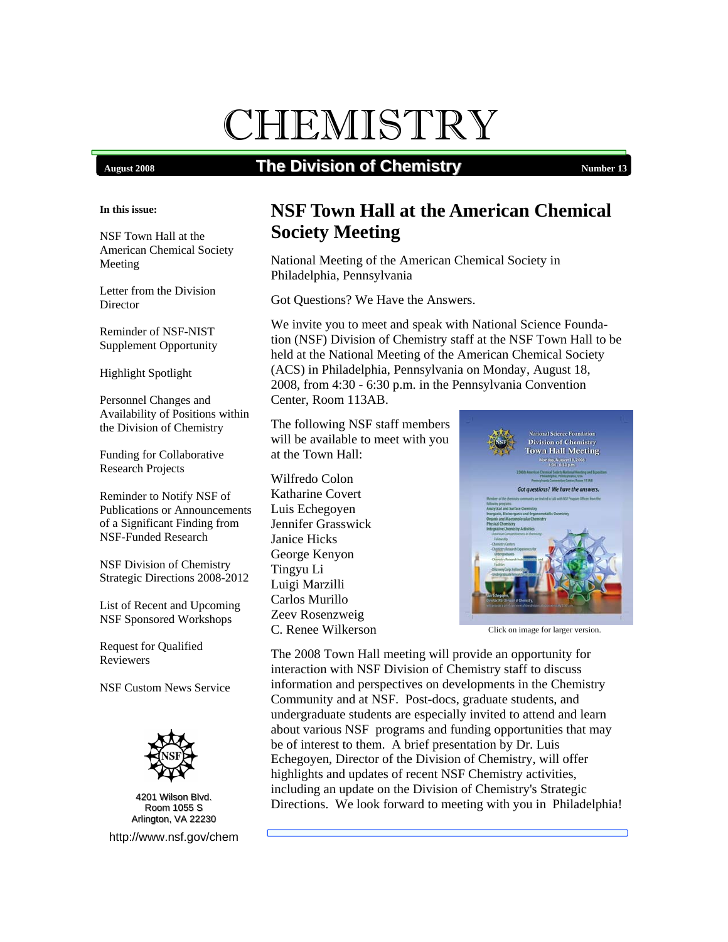# CHEMISTRY

# **August 2008 The Division of Chemistry Number 13 Number 13**

#### **In this issue:**

 NSF Town Hall at the American Chemical Society Meeting

Letter from the Division Director

Reminder of NSF-NIST Supplement Opportunity

Highlight Spotlight

Personnel Changes and Availability of Positions within the Division of Chemistry

Funding for Collaborative Research Projects

Reminder to Notify NSF of Publications or Announcements of a Significant Finding from NSF-Funded Research

NSF Division of Chemistry Strategic Directions 2008-2012

List of Recent and Upcoming NSF Sponsored Workshops

Request for Qualified Reviewers

NSF Custom News Service



<sup>4201</sup> Wilson Blvd. Room 1055 S Room 1055 S Arlington, VA 22230 <http://www.nsf.gov/chem>

# **NSF Town Hall at the American Chemical Society Meeting**

National Meeting of the American Chemical Society in Philadelphia, Pennsylvania

Got Questions? We Have the Answers.

We invite you to meet and speak with National Science Foundation (NSF) Division of Chemistry staff at the NSF Town Hall to be held at the National Meeting of the American Chemical Society (ACS) in Philadelphia, Pennsylvania on Monday, August 18, 2008, from 4:30 - 6:30 p.m. in the Pennsylvania Convention Center, Room 113AB.

The following NSF staff members will be available to meet with you at the Town Hall:

Wilfredo Colon Katharine Covert Luis Echegoyen Jennifer Grasswick Janice Hicks George Kenyon Tingyu Li Luigi Marzilli Carlos Murillo Zeev Rosenzweig C. Renee Wilkerson



Click on image for larger version.

The 2008 Town Hall meeting will provide an opportunity for interaction with NSF Division of Chemistry staff to discuss information and perspectives on developments in the Chemistry Community and at NSF. Post-docs, graduate students, and undergraduate students are especially invited to attend and learn about various NSF programs and funding opportunities that may be of interest to them. A brief presentation by Dr. Luis Echegoyen, Director of the Division of Chemistry, will offer highlights and updates of recent NSF Chemistry activities, including an update on the Division of Chemistry's Strategic Directions. We look forward to meeting with you in Philadelphia!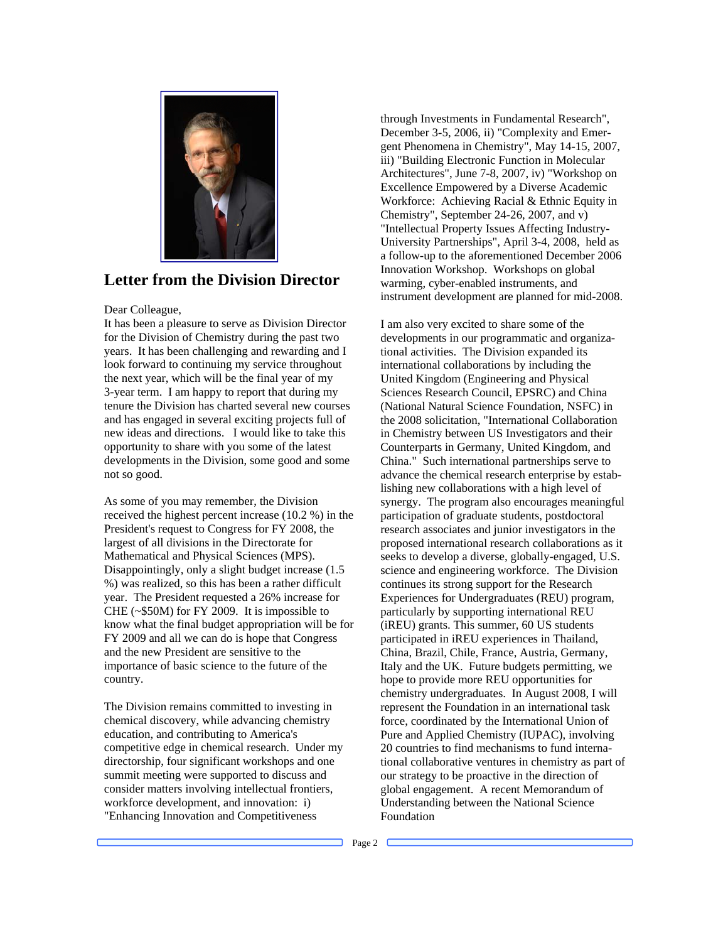

#### **Letter from the Division Director**

#### Dear Colleague,

 It has been a pleasure to serve as Division Director tenure the Division has charted several new courses and has engaged in several exciting projects full of new ideas and directions. I would like to take this for the Division of Chemistry during the past two years. It has been challenging and rewarding and I look forward to continuing my service throughout the next year, which will be the final year of my 3-year term. I am happy to report that during my opportunity to share with you some of the latest developments in the Division, some good and some not so good.

 As some of you may remember, the Division know what the final budget appropriation will be for received the highest percent increase (10.2 %) in the President's request to Congress for FY 2008, the largest of all divisions in the Directorate for Mathematical and Physical Sciences (MPS). Disappointingly, only a slight budget increase (1.5 %) was realized, so this has been a rather difficult year. The President requested a 26% increase for CHE (~\$50M) for FY 2009. It is impossible to FY 2009 and all we can do is hope that Congress and the new President are sensitive to the importance of basic science to the future of the country.

summit meeting were supported to discuss and workforce development, and innovation: i) The Division remains committed to investing in chemical discovery, while advancing chemistry education, and contributing to America's competitive edge in chemical research. Under my directorship, four significant workshops and one consider matters involving intellectual frontiers, "Enhancing Innovation and Competitiveness

 Chemistry", September 24-26, 2007, and v) University Partnerships", April 3-4, 2008, held as through Investments in Fundamental Research", December 3-5, 2006, ii) "Complexity and Emergent Phenomena in Chemistry", May 14-15, 2007, iii) "Building Electronic Function in Molecular Architectures", June 7-8, 2007, iv) "Workshop on Excellence Empowered by a Diverse Academic Workforce: Achieving Racial & Ethnic Equity in "Intellectual Property Issues Affecting Industrya follow-up to the aforementioned December 2006 Innovation Workshop. Workshops on global warming, cyber-enabled instruments, and

 instrument development are planned for mid-2008. I am also very excited to share some of the (National Natural Science Foundation, NSFC) in lishing new collaborations with a high level of synergy. The program also encourages meaningful continues its strong support for the Research (iREU) grants. This summer, 60 US students chemistry undergraduates. In August 2008, I will force, coordinated by the International Union of developments in our programmatic and organizational activities. The Division expanded its international collaborations by including the United Kingdom (Engineering and Physical Sciences Research Council, EPSRC) and China the 2008 solicitation, "International Collaboration in Chemistry between US Investigators and their Counterparts in Germany, United Kingdom, and China." Such international partnerships serve to advance the chemical research enterprise by estabparticipation of graduate students, postdoctoral research associates and junior investigators in the proposed international research collaborations as it seeks to develop a diverse, globally-engaged, U.S. science and engineering workforce. The Division Experiences for Undergraduates (REU) program, particularly by supporting international REU participated in iREU experiences in Thailand, China, Brazil, Chile, France, Austria, Germany, Italy and the UK. Future budgets permitting, we hope to provide more REU opportunities for represent the Foundation in an international task Pure and Applied Chemistry (IUPAC), involving 20 countries to find mechanisms to fund international collaborative ventures in chemistry as part of our strategy to be proactive in the direction of global engagement. A recent Memorandum of Understanding between the National Science Foundation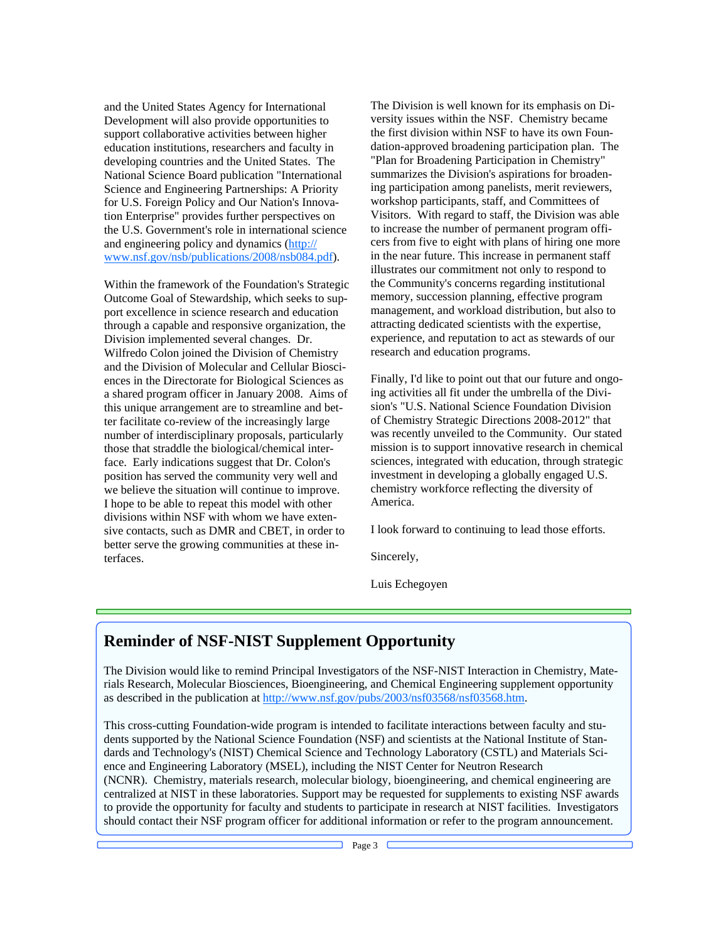education institutions, researchers and faculty in www.nsf.gov/nsb/publications/2008/nsb084.pdf). and the United States Agency for International Development will also provide opportunities to support collaborative activities between higher developing countries and the United States. The National Science Board publication "International Science and Engineering Partnerships: A Priority for U.S. Foreign Policy and Our Nation's Innovation Enterprise" provides further perspectives on the U.S. Government's role in international science and engineering policy and dynamics ([http://](http://www.nsf.gov/nsb/publications/2008/nsb084.pdf) 

 a shared program officer in January 2008. Aims of number of interdisciplinary proposals, particularly I hope to be able to repeat this model with other Within the framework of the Foundation's Strategic Outcome Goal of Stewardship, which seeks to support excellence in science research and education through a capable and responsive organization, the Division implemented several changes. Dr. Wilfredo Colon joined the Division of Chemistry and the Division of Molecular and Cellular Biosciences in the Directorate for Biological Sciences as this unique arrangement are to streamline and better facilitate co-review of the increasingly large those that straddle the biological/chemical interface. Early indications suggest that Dr. Colon's position has served the community very well and we believe the situation will continue to improve. divisions within NSF with whom we have extensive contacts, such as DMR and CBET, in order to better serve the growing communities at these interfaces.

 the first division within NSF to have its own Foun- cers from five to eight with plans of hiring one more illustrates our commitment not only to respond to management, and workload distribution, but also to The Division is well known for its emphasis on Diversity issues within the NSF. Chemistry became dation-approved broadening participation plan. The "Plan for Broadening Participation in Chemistry" summarizes the Division's aspirations for broadening participation among panelists, merit reviewers, workshop participants, staff, and Committees of Visitors. With regard to staff, the Division was able to increase the number of permanent program offiin the near future. This increase in permanent staff the Community's concerns regarding institutional memory, succession planning, effective program attracting dedicated scientists with the expertise, experience, and reputation to act as stewards of our research and education programs.

Finally, I'd like to point out that our future and ongoing activities all fit under the umbrella of the Division's "U.S. National Science Foundation Division of Chemistry Strategic Directions 2008-2012" that was recently unveiled to the Community. Our stated mission is to support innovative research in chemical sciences, integrated with education, through strategic investment in developing a globally engaged U.S. chemistry workforce reflecting the diversity of America.

I look forward to continuing to lead those efforts.

Sincerely,

Luis Echegoyen

#### **Reminder of NSF-NIST Supplement Opportunity**

The Division would like to remind Principal Investigators of the NSF-NIST Interaction in Chemistry, Materials Research, Molecular Biosciences, Bioengineering, and Chemical Engineering supplement opportunity as described in the publication at http://www.nsf.gov/pubs/2003/nsf03568/nsf03568.htm.

This cross-cutting Foundation-wide program is intended to facilitate interactions between faculty and students supported by the National Science Foundation (NSF) and scientists at the National Institute of Standards and Technology's (NIST) Chemical Science and Technology Laboratory (CSTL) and Materials Science and Engineering Laboratory (MSEL), including the NIST Center for Neutron Research (NCNR). Chemistry, materials research, molecular biology, bioengineering, and chemical engineering are centralized at NIST in these laboratories. Support may be requested for supplements to existing NSF awards to provide the opportunity for faculty and students to participate in research at NIST facilities. Investigators should contact their NSF program officer for additional information or refer to the program announcement.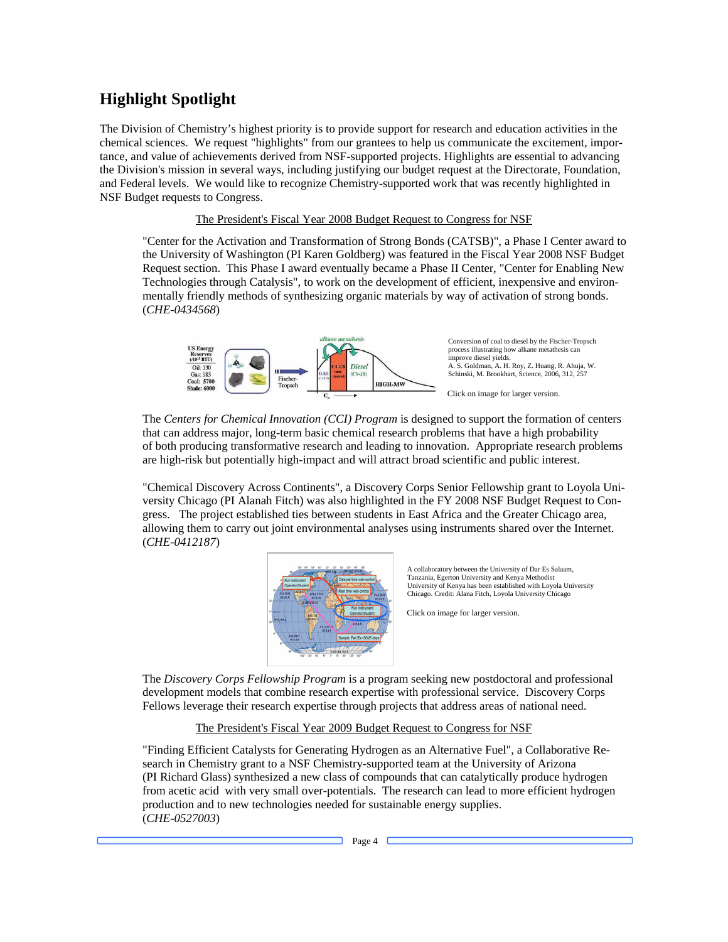## **Highlight Spotlight**

 the Division's mission in several ways, including justifying our budget request at the Directorate, Foundation, The Division of Chemistry's highest priority is to provide support for research and education activities in the chemical sciences. We request "highlights" from our grantees to help us communicate the excitement, importance, and value of achievements derived from NSF-supported projects. Highlights are essential to advancing and Federal levels. We would like to recognize Chemistry-supported work that was recently highlighted in NSF Budget requests to Congress.

#### The President's Fiscal Year 2008 Budget Request to Congress for NSF

 Technologies through Catalysis", to work on the development of efficient, inexpensive and environ-"Center for the Activation and Transformation of Strong Bonds (CATSB)", a Phase I Center award to the University of Washington (PI Karen Goldberg) was featured in the Fiscal Year 2008 NSF Budget Request section. This Phase I award eventually became a Phase II Center, "Center for Enabling New mentally friendly methods of synthesizing organic materials by way of activation of strong bonds. (*CHE-0434568*)



The Centers for Chemical Innovation (CCI) Program is designed to support the formation of centers that can address major, long-term basic chemical research problems that have a high probability of both producing transformative research and leading to innovation. Appropriate research problems are high-risk but potentially high-impact and will attract broad scientific and public interest.

 versity Chicago (PI Alanah Fitch) was also highlighted in the FY 2008 NSF Budget Request to Con- gress. The project established ties between students in East Africa and the Greater Chicago area, "Chemical Discovery Across Continents", a Discovery Corps Senior Fellowship grant to Loyola Uniallowing them to carry out joint environmental analyses using instruments shared over the Internet. (*CHE-0412187*)



A collaboratory between the University of Dar Es Salaam, Tanzania, Egerton University and Kenya Methodist University of Kenya has been established with Loyola University Chicago. Credit: Alana Fitch, Loyola University Chicago

Click on image for larger version.

The *Discovery Corps Fellowship Program* is a program seeking new postdoctoral and professional development models that combine research expertise with professional service. Discovery Corps Fellows leverage their research expertise through projects that address areas of national need.

#### The President's Fiscal Year 2009 Budget Request to Congress for NSF

 from acetic acid with very small over-potentials. The research can lead to more efficient hydrogen "Finding Efficient Catalysts for Generating Hydrogen as an Alternative Fuel", a Collaborative Research in Chemistry grant to a NSF Chemistry-supported team at the University of Arizona (PI Richard Glass) synthesized a new class of compounds that can catalytically produce hydrogen production and to new technologies needed for sustainable energy supplies. (*CHE-0527003*)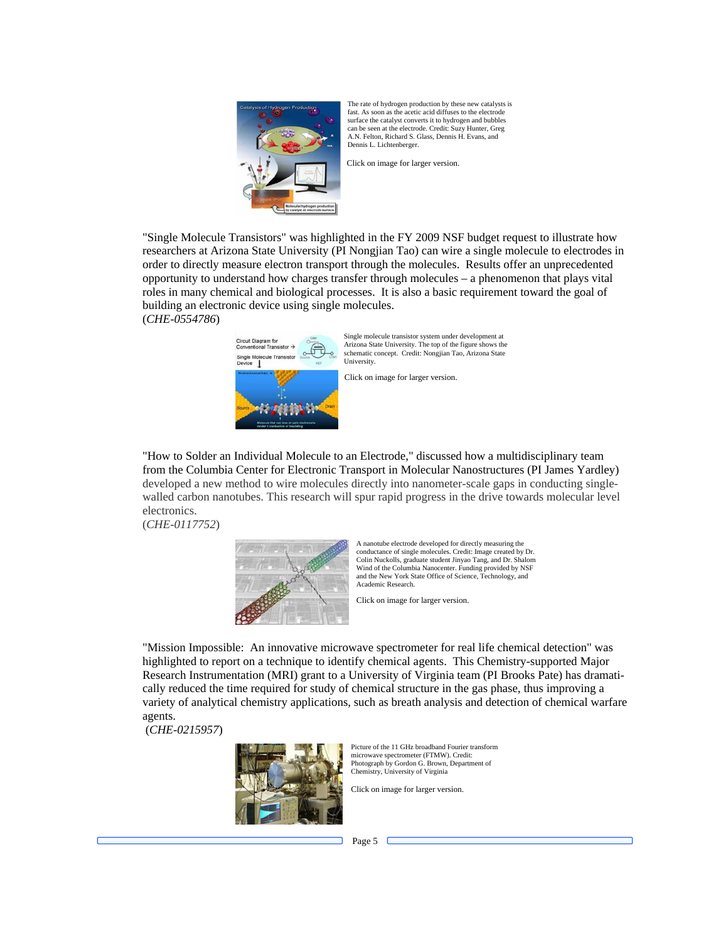

The rate of hydrogen production by these new catalysts is fast. As soon as the acetic acid diffuses to the electrode surface the catalyst converts it to hydrogen and bubbles can be seen at the electrode. Credit: Suzy Hunter, Greg A.N. Felton, Richard S. Glass, Dennis H. Evans, and Dennis L. Lichtenberger.

Click on image for larger version.

 opportunity to understand how charges transfer through molecules – a phenomenon that plays vital building an electronic device using single molecules. (*CHE-0554786*) "Single Molecule Transistors" was highlighted in the FY 2009 NSF budget request to illustrate how researchers at Arizona State University (PI Nongjian Tao) can wire a single molecule to electrodes in order to directly measure electron transport through the molecules. Results offer an unprecedented roles in many chemical and biological processes. It is also a basic requirement toward the goal of



Single molecule transistor system under development at Arizona State University. The top of the figure shows the schematic concept. Credit: Nongjian Tao, Arizona State University.

from the Columbia Center for Electronic Transport in Molecular Nanostructures (PI James Yardley) developed a new method to wire molecules directly into nanometer-scale gaps in conducting singlewalled carbon nanotubes. This research will spur rapid progress in the drive towards molecular level electronics.

(*CHE-0117752*)



 Wind of the Columbia Nanocenter. Funding provided by NSF A nanotube electrode developed for directly measuring the conductance of single molecules. Credit: Image created by Dr. Colin Nuckolls, graduate student Jinyao Tang, and Dr. Shalom and the New York State Office of Science, Technology, and Academic Research.

Click on image for larger version.

 highlighted to report on a technique to identify chemical agents. This Chemistry-supported Major "Mission Impossible: An innovative microwave spectrometer for real life chemical detection" was Research Instrumentation (MRI) grant to a University of Virginia team (PI Brooks Pate) has dramatically reduced the time required for study of chemical structure in the gas phase, thus improving a variety of analytical chemistry applications, such as breath analysis and detection of chemical warfare agents.

(*CHE-0215957*)



 Chemistry, University of Virginia Picture of the 11 GHz broadband Fourier transform microwave spectrometer (FTMW). Credit: Photograph by Gordon G. Brown, Department of

Click on image for larger version.<br>Page 5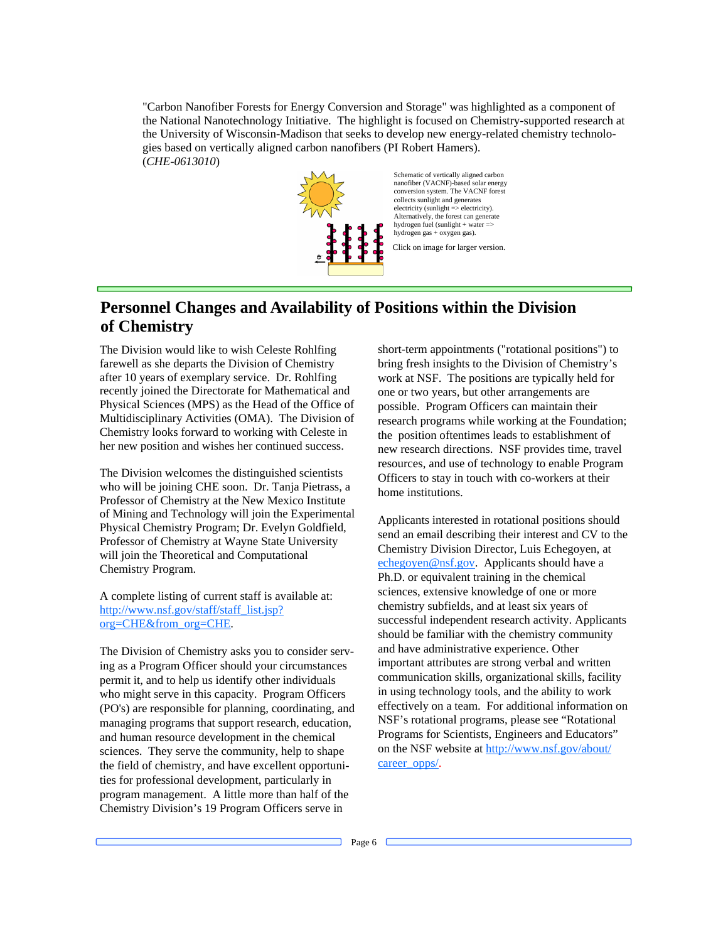"Carbon Nanofiber Forests for Energy Conversion and Storage" was highlighted as a component of the National Nanotechnology Initiative. The highlight is focused on Chemistry-supported research at the University of Wisconsin-Madison that seeks to develop new energy-related chemistry technologies based on vertically aligned carbon nanofibers (PI Robert Hamers). (*CHE-0613010*)



#### **Personnel Changes and Availability of Positions within the Division of Chemistry**

 after 10 years of exemplary service. Dr. Rohlfing Chemistry looks forward to working with Celeste in The Division would like to wish Celeste Rohlfing farewell as she departs the Division of Chemistry recently joined the Directorate for Mathematical and Physical Sciences (MPS) as the Head of the Office of Multidisciplinary Activities (OMA). The Division of her new position and wishes her continued success.

 of Mining and Technology will join the Experimental Physical Chemistry Program; Dr. Evelyn Goldfield, The Division welcomes the distinguished scientists who will be joining CHE soon. Dr. Tanja Pietrass, a Professor of Chemistry at the New Mexico Institute Professor of Chemistry at Wayne State University will join the Theoretical and Computational Chemistry Program.

A complete listing of current staff is available at: [http://www.nsf.gov/staff/staff\\_list.jsp?](http://www.nsf.gov/staff/staff_list.jsp?org=CHE&from_org=CHE)  org=CHE&from\_org=CHE.

 permit it, and to help us identify other individuals The Division of Chemistry asks you to consider serving as a Program Officer should your circumstances who might serve in this capacity. Program Officers (PO's) are responsible for planning, coordinating, and managing programs that support research, education, and human resource development in the chemical sciences. They serve the community, help to shape the field of chemistry, and have excellent opportunities for professional development, particularly in program management. A little more than half of the Chemistry Division's 19 Program Officers serve in

one or two years, but other arrangements are new research directions. NSF provides time, travel short-term appointments ("rotational positions") to bring fresh insights to the Division of Chemistry's work at NSF. The positions are typically held for possible. Program Officers can maintain their research programs while working at the Foundation; the position oftentimes leads to establishment of resources, and use of technology to enable Program Officers to stay in touch with co-workers at their home institutions.

 sciences, extensive knowledge of one or more important attributes are strong verbal and written communication skills, organizational skills, facility effectively on a team. For additional information on Applicants interested in rotational positions should send an email describing their interest and CV to the Chemistry Division Director, Luis Echegoyen, at [echegoyen@nsf.gov.](mailto:echegoyen@nsf.gov) Applicants should have a Ph.D. or equivalent training in the chemical chemistry subfields, and at least six years of successful independent research activity. Applicants should be familiar with the chemistry community and have administrative experience. Other in using technology tools, and the ability to work NSF's rotational programs, please see "Rotational Programs for Scientists, Engineers and Educators" [on the NSF webs](http://www.nsf.gov/about/career_opps/)ite at [http://www.nsf.gov/about/](http://www.nsf.gov/about/career_opps/)  career\_opps/.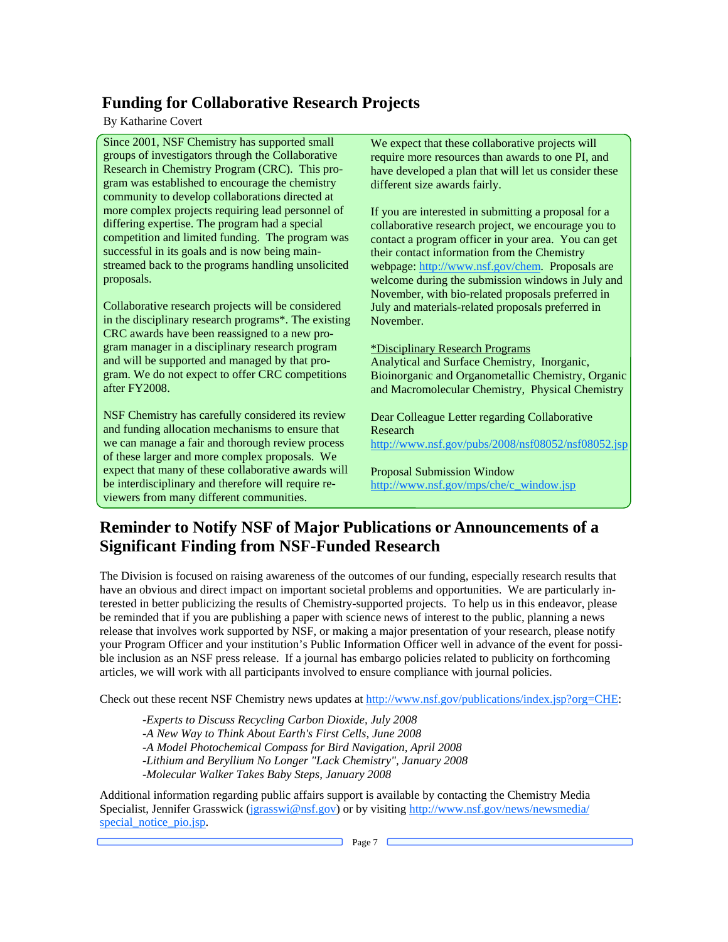# **Funding for Collaborative Research Projects**

#### By Katharine Covert

 more complex projects requiring lead personnel of streamed back to the programs handling unsolicited proposals. Since 2001, NSF Chemistry has supported small groups of investigators through the Collaborative Research in Chemistry Program (CRC). This program was established to encourage the chemistry community to develop collaborations directed at differing expertise. The program had a special competition and limited funding. The program was successful in its goals and is now being main-

 CRC awards have been reassigned to a new pro- gram manager in a disciplinary research program Collaborative research projects will be considered in the disciplinary research programs\*. The existing and will be supported and managed by that program. We do not expect to offer CRC competitions after FY2008.

NSF Chemistry has carefully considered its review and funding allocation mechanisms to ensure that we can manage a fair and thorough review process of these larger and more complex proposals. We expect that many of these collaborative awards will be interdisciplinary and therefore will require reviewers from many different communities.

We expect that these collaborative projects will require more resources than awards to one PI, and have developed a plan that will let us consider these different size awards fairly.

 July and materials-related proposals preferred in November. If you are interested in submitting a proposal for a collaborative research project, we encourage you to contact a program officer in your area. You can get their contact information from the Chemistry webpage: [http://www.nsf.gov/chem.](http://www.nsf.gov/chem) Proposals are welcome during the submission windows in July and November, with bio-related proposals preferred in

#### \*Disciplinary Research Programs

 Analytical and Surface Chemistry, Inorganic, Bioinorganic and Organometallic Chemistry, Organic and Macromolecular Chemistry, Physical Chemistry

Dear Colleague Letter regarding Collaborative Research

<http://www.nsf.gov/pubs/2008/nsf08052/nsf08052.jsp>

Proposal Submission Window [http://www.nsf.gov/mps/che/c\\_window.jsp](http://www.nsf.gov/mps/che/c_window.jsp) 

# **Reminder to Notify NSF of Major Publications or Announcements of a Significant Finding from NSF-Funded Research**

 terested in better publicizing the results of Chemistry-supported projects. To help us in this endeavor, please The Division is focused on raising awareness of the outcomes of our funding, especially research results that have an obvious and direct impact on important societal problems and opportunities. We are particularly inbe reminded that if you are publishing a paper with science news of interest to the public, planning a news release that involves work supported by NSF, or making a major presentation of your research, please notify your Program Officer and your institution's Public Information Officer well in advance of the event for possible inclusion as an NSF press release. If a journal has embargo policies related to publicity on forthcoming articles, we will work with all participants involved to ensure compliance with journal policies.

Check out these recent NSF Chemistry news updates at<http://www.nsf.gov/publications/index.jsp?org=CHE:>

-*Experts to Discuss Recycling Carbon Dioxide, July 2008*  -*A New Way to Think About Earth's First Cells, June 2008* -*A Model Photochemical Compass for Bird Navigation, April 2008*  -*Lithium and Beryllium No Longer "Lack Chemistry", January 2008* -*Molecular Walker Takes Baby Steps, January 2008* 

Additional information regarding public affairs support is available by contacting the Chemistry Media [Specialist, Jennifer Grassw](http://www.nsf.gov/news/newsmedia/special_notice_pio.jsp)ick [\(jgrasswi@nsf.gov\)](mailto:jgrasswi@nsf.gov) or by visiting http://www.nsf.gov/news/newsmedia/ special\_notice\_pio.jsp.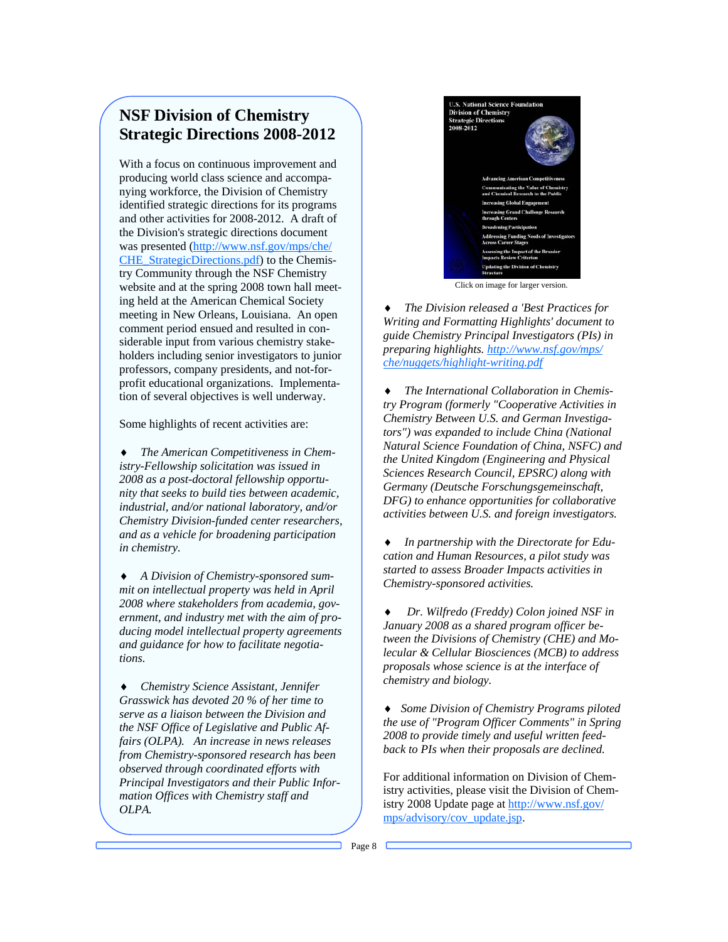#### **NSF Division of Chemistry Strategic Directions 2008-2012**

 website and at the spring 2008 town hall meet- meeting in New Orleans, Louisiana. An open holders including senior investigators to junior With a focus on continuous improvement and producing world class science and accompanying workforce, the Division of Chemistry identified strategic directions for its programs and other activities for 2008-2012. A draft of the Division's strategic directions document was presented ([http://www.nsf.gov/mps/che/](http://www.nsf.gov/mps/che/CHE_StrategicDirections.pdf) [CHE\\_StrategicDirections.pdf\)](http://www.nsf.gov/mps/che/CHE_StrategicDirections.pdf) to the Chemistry Community through the NSF Chemistry ing held at the American Chemical Society comment period ensued and resulted in considerable input from various chemistry stakeprofessors, company presidents, and not-forprofit educational organizations. Implementation of several objectives is well underway.

Some highlights of recent activities are:

 *2008 as a post-doctoral fellowship opportu-*♦ *The American Competitiveness in Chemistry-Fellowship solicitation was issued in nity that seeks to build ties between academic, industrial, and/or national laboratory, and/or Chemistry Division-funded center researchers, and as a vehicle for broadening participation in chemistry.* 

 *ducing model intellectual property agreements*  ♦ *A Division of Chemistry-sponsored summit on intellectual property was held in April 2008 where stakeholders from academia, government, and industry met with the aim of proand guidance for how to facilitate negotiations.* 

 *from Chemistry-sponsored research has been*  ♦ *Chemistry Science Assistant, Jennifer Grasswick has devoted 20 % of her time to serve as a liaison between the Division and the NSF Office of Legislative and Public Affairs (OLPA). An increase in news releases observed through coordinated efforts with Principal Investigators and their Public Information Offices with Chemistry staff and OLPA.* 



Click on image for larger version.

♦ *The Division released a 'Best Practices for Writing and Formatting Highlights' document to guide Chemistry Principal Investigators (PIs) in [preparing highlights. http://www.nsf.gov/mps/](http://www.nsf.gov/mps/)  che/nuggets/highlight-writing.pdf* 

 *activities between U.S. and foreign investigators.*  **The International Collaboration in Chemis***try Program (formerly "Cooperative Activities in Chemistry Between U.S. and German Investigators") was expanded to include China (National Natural Science Foundation of China, NSFC) and the United Kingdom (Engineering and Physical Sciences Research Council, EPSRC) along with Germany (Deutsche Forschungsgemeinschaft, DFG) to enhance opportunities for collaborative* 

♦ *In partnership with the Directorate for Education and Human Resources, a pilot study was started to assess Broader Impacts activities in Chemistry-sponsored activities.* 

♦ *Dr. Wilfredo (Freddy) Colon joined NSF in January 2008 as a shared program officer between the Divisions of Chemistry (CHE) and Molecular & Cellular Biosciences (MCB) to address proposals whose science is at the interface of chemistry and biology.* 

 ♦ *Some Division of Chemistry Programs piloted the use of "Program Officer Comments" in Spring 2008 to provide timely and useful written feedback to PIs when their proposals are declined.* 

For additional information on Division of Chemistry activities, please visit the Division of Chemistry 2008 Update page at http://www.nsf.gov/ mps/advisory/cov\_update.jsp.